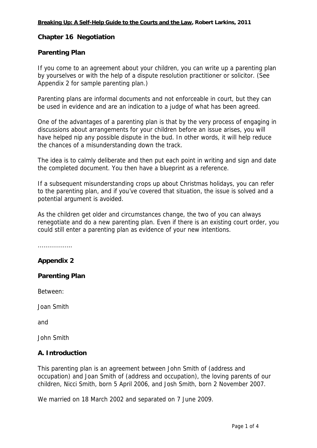## **Chapter 16 Negotiation**

### **Parenting Plan**

If you come to an agreement about your children, you can write up a parenting plan by yourselves or with the help of a dispute resolution practitioner or solicitor. (See Appendix 2 for sample parenting plan.)

Parenting plans are informal documents and not enforceable in court, but they can be used in evidence and are an indication to a judge of what has been agreed.

One of the advantages of a parenting plan is that by the very process of engaging in discussions about arrangements for your children before an issue arises, you will have helped nip any possible dispute in the bud. In other words, it will help reduce the chances of a misunderstanding down the track.

The idea is to calmly deliberate and then put each point in writing and sign and date the completed document. You then have a blueprint as a reference.

If a subsequent misunderstanding crops up about Christmas holidays, you can refer to the parenting plan, and if you've covered that situation, the issue is solved and a potential argument is avoided.

As the children get older and circumstances change, the two of you can always renegotiate and do a new parenting plan. Even if there is an existing court order, you could still enter a parenting plan as evidence of your new intentions.

...............…

# **Appendix 2**

### **Parenting Plan**

Between:

Joan Smith

and

John Smith

### **A. Introduction**

This parenting plan is an agreement between John Smith of (address and occupation) and Joan Smith of (address and occupation), the loving parents of our children, Nicci Smith, born 5 April 2006, and Josh Smith, born 2 November 2007.

We married on 18 March 2002 and separated on 7 June 2009.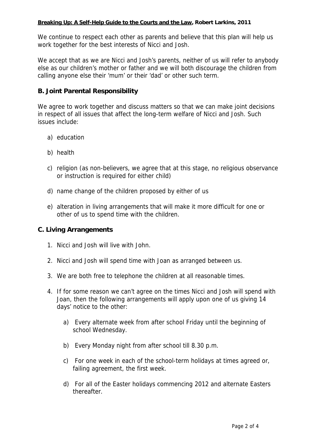#### **Breaking Up: A Self-Help Guide to the Courts and the Law, Robert Larkins, 2011**

We continue to respect each other as parents and believe that this plan will help us work together for the best interests of Nicci and Josh.

We accept that as we are Nicci and Josh's parents, neither of us will refer to anybody else as our children's mother or father and we will both discourage the children from calling anyone else their 'mum' or their 'dad' or other such term.

# **B. Joint Parental Responsibility**

We agree to work together and discuss matters so that we can make joint decisions in respect of all issues that affect the long-term welfare of Nicci and Josh. Such issues include:

- a) education
- b) health
- c) religion (as non-believers, we agree that at this stage, no religious observance or instruction is required for either child)
- d) name change of the children proposed by either of us
- e) alteration in living arrangements that will make it more difficult for one or other of us to spend time with the children.

# **C. Living Arrangements**

- 1. Nicci and Josh will live with John.
- 2. Nicci and Josh will spend time with Joan as arranged between us.
- 3. We are both free to telephone the children at all reasonable times.
- 4. If for some reason we can't agree on the times Nicci and Josh will spend with Joan, then the following arrangements will apply upon one of us giving 14 days' notice to the other:
	- a) Every alternate week from after school Friday until the beginning of school Wednesday.
	- b) Every Monday night from after school till 8.30 p.m.
	- c) For one week in each of the school-term holidays at times agreed or, failing agreement, the first week.
	- d) For all of the Easter holidays commencing 2012 and alternate Easters thereafter.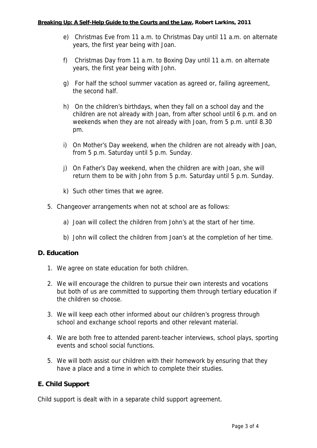- e) Christmas Eve from 11 a.m. to Christmas Day until 11 a.m. on alternate years, the first year being with Joan.
- f) Christmas Day from 11 a.m. to Boxing Day until 11 a.m. on alternate years, the first year being with John.
- g) For half the school summer vacation as agreed or, failing agreement, the second half.
- h) On the children's birthdays, when they fall on a school day and the children are not already with Joan, from after school until 6 p.m. and on weekends when they are not already with Joan, from 5 p.m. until 8.30 pm.
- i) On Mother's Day weekend, when the children are not already with Joan, from 5 p.m. Saturday until 5 p.m. Sunday.
- j) On Father's Day weekend, when the children are with Joan, she will return them to be with John from 5 p.m. Saturday until 5 p.m. Sunday.
- k) Such other times that we agree.
- 5. Changeover arrangements when not at school are as follows:
	- a) Joan will collect the children from John's at the start of her time.
	- b) John will collect the children from Joan's at the completion of her time.

### **D. Education**

- 1. We agree on state education for both children.
- 2. We will encourage the children to pursue their own interests and vocations but both of us are committed to supporting them through tertiary education if the children so choose.
- 3. We will keep each other informed about our children's progress through school and exchange school reports and other relevant material.
- 4. We are both free to attended parent-teacher interviews, school plays, sporting events and school social functions.
- 5. We will both assist our children with their homework by ensuring that they have a place and a time in which to complete their studies.

# **E. Child Support**

Child support is dealt with in a separate child support agreement.